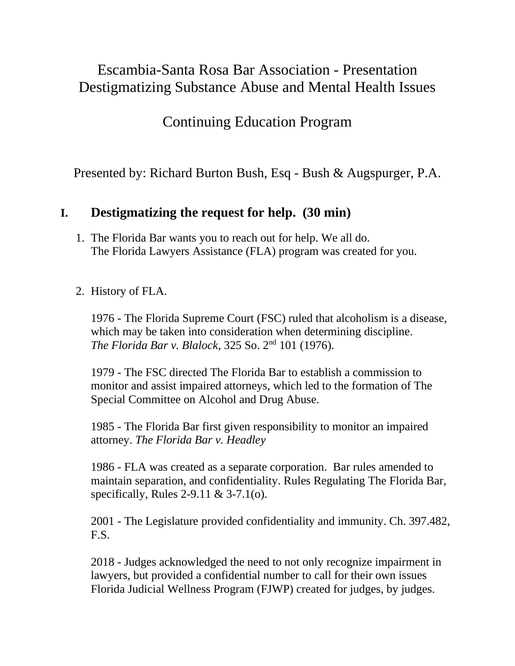# Escambia-Santa Rosa Bar Association - Presentation Destigmatizing Substance Abuse and Mental Health Issues

Continuing Education Program

Presented by: Richard Burton Bush, Esq - Bush & Augspurger, P.A.

### **I. Destigmatizing the request for help. (30 min)**

- 1. The Florida Bar wants you to reach out for help. We all do. The Florida Lawyers Assistance (FLA) program was created for you.
- 2. History of FLA.

1976 - The Florida Supreme Court (FSC) ruled that alcoholism is a disease, which may be taken into consideration when determining discipline. *The Florida Bar v. Blalock*, 325 So. 2nd 101 (1976).

1979 - The FSC directed The Florida Bar to establish a commission to monitor and assist impaired attorneys, which led to the formation of The Special Committee on Alcohol and Drug Abuse.

1985 - The Florida Bar first given responsibility to monitor an impaired attorney. *The Florida Bar v. Headley*

1986 - FLA was created as a separate corporation. Bar rules amended to maintain separation, and confidentiality. Rules Regulating The Florida Bar, specifically, Rules 2-9.11 & 3-7.1(o).

2001 - The Legislature provided confidentiality and immunity. Ch. 397.482, F.S.

2018 - Judges acknowledged the need to not only recognize impairment in lawyers, but provided a confidential number to call for their own issues Florida Judicial Wellness Program (FJWP) created for judges, by judges.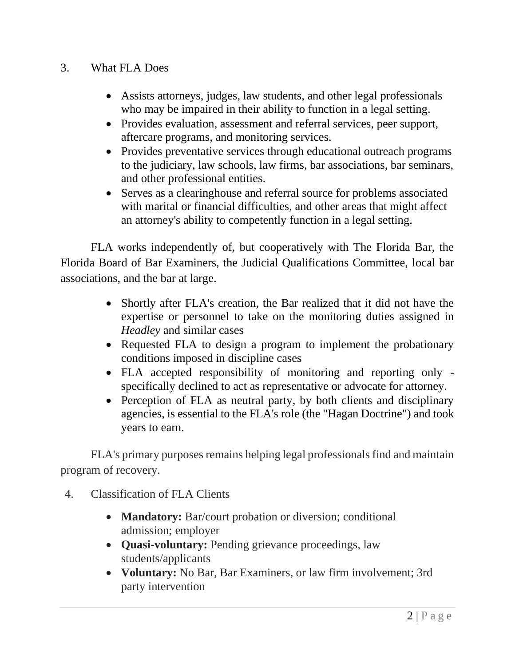#### 3. What FLA Does

- Assists attorneys, judges, law students, and other legal professionals who may be impaired in their ability to function in a legal setting.
- Provides evaluation, assessment and referral services, peer support, aftercare programs, and monitoring services.
- Provides preventative services through educational outreach programs to the judiciary, law schools, law firms, bar associations, bar seminars, and other professional entities.
- Serves as a clearinghouse and referral source for problems associated with marital or financial difficulties, and other areas that might affect an attorney's ability to competently function in a legal setting.

FLA works independently of, but cooperatively with The Florida Bar, the Florida Board of Bar Examiners, the Judicial Qualifications Committee, local bar associations, and the bar at large.

- Shortly after FLA's creation, the Bar realized that it did not have the expertise or personnel to take on the monitoring duties assigned in *Headley* and similar cases
- Requested FLA to design a program to implement the probationary conditions imposed in discipline cases
- FLA accepted responsibility of monitoring and reporting only specifically declined to act as representative or advocate for attorney.
- Perception of FLA as neutral party, by both clients and disciplinary agencies, is essential to the FLA's role (the "Hagan Doctrine") and took years to earn.

FLA's primary purposes remains helping legal professionals find and maintain program of recovery.

- 4. Classification of FLA Clients
	- **Mandatory:** Bar/court probation or diversion; conditional admission; employer
	- **Quasi-voluntary:** Pending grievance proceedings, law students/applicants
	- **Voluntary:** No Bar, Bar Examiners, or law firm involvement; 3rd party intervention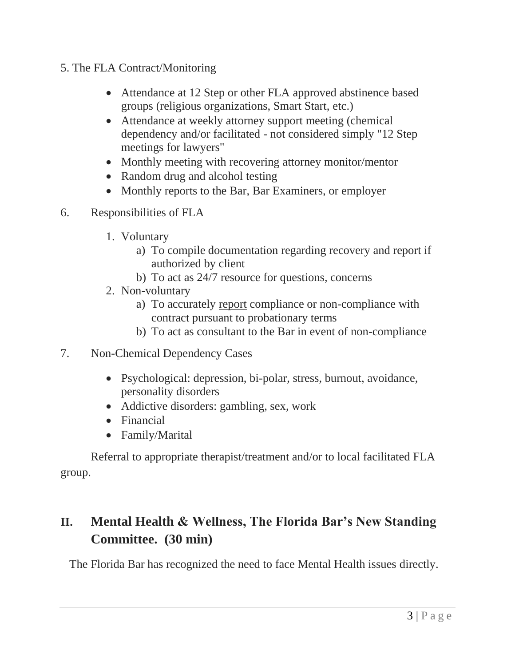- 5. The FLA Contract/Monitoring
	- Attendance at 12 Step or other FLA approved abstinence based groups (religious organizations, Smart Start, etc.)
	- Attendance at weekly attorney support meeting (chemical dependency and/or facilitated - not considered simply "12 Step meetings for lawyers"
	- Monthly meeting with recovering attorney monitor/mentor
	- Random drug and alcohol testing
	- Monthly reports to the Bar, Bar Examiners, or employer
- 6. Responsibilities of FLA
	- 1. Voluntary
		- a) To compile documentation regarding recovery and report if authorized by client
		- b) To act as 24/7 resource for questions, concerns
	- 2. Non-voluntary
		- a) To accurately report compliance or non-compliance with contract pursuant to probationary terms
		- b) To act as consultant to the Bar in event of non-compliance
- 7. Non-Chemical Dependency Cases
	- Psychological: depression, bi-polar, stress, burnout, avoidance, personality disorders
	- Addictive disorders: gambling, sex, work
	- Financial
	- Family/Marital

Referral to appropriate therapist/treatment and/or to local facilitated FLA group.

# **II. Mental Health & Wellness, The Florida Bar's New Standing Committee. (30 min)**

The Florida Bar has recognized the need to face Mental Health issues directly.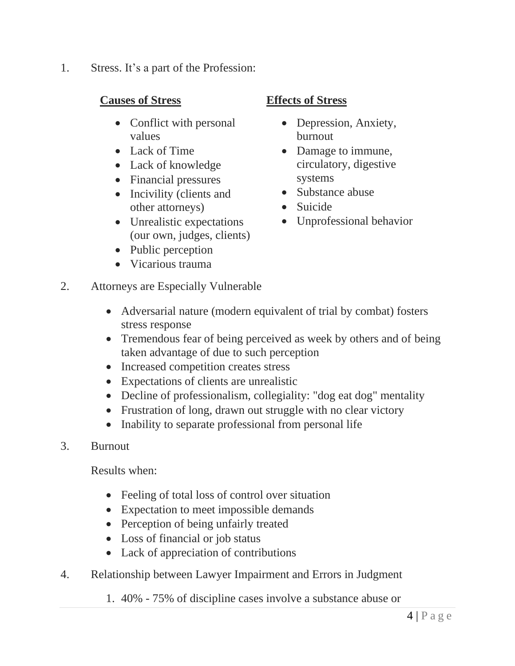1. Stress. It's a part of the Profession:

#### **Causes of Stress**

- Conflict with personal values
- Lack of Time
- Lack of knowledge
- Financial pressures
- Incivility (clients and other attorneys)
- Unrealistic expectations (our own, judges, clients)
- Public perception
- Vicarious trauma

### **Effects of Stress**

- Depression, Anxiety, burnout
- Damage to immune, circulatory, digestive systems
- Substance abuse
- Suicide
- Unprofessional behavior
- 2. Attorneys are Especially Vulnerable
	- Adversarial nature (modern equivalent of trial by combat) fosters stress response
	- Tremendous fear of being perceived as week by others and of being taken advantage of due to such perception
	- Increased competition creates stress
	- Expectations of clients are unrealistic
	- Decline of professionalism, collegiality: "dog eat dog" mentality
	- Frustration of long, drawn out struggle with no clear victory
	- Inability to separate professional from personal life
- 3. Burnout

Results when:

- Feeling of total loss of control over situation
- Expectation to meet impossible demands
- Perception of being unfairly treated
- Loss of financial or job status
- Lack of appreciation of contributions
- 4. Relationship between Lawyer Impairment and Errors in Judgment
	- 1. 40% 75% of discipline cases involve a substance abuse or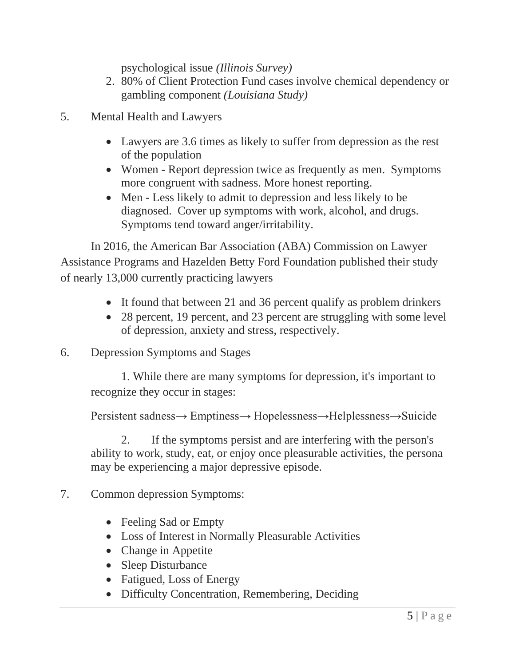psychological issue *(Illinois Survey)*

- 2. 80% of Client Protection Fund cases involve chemical dependency or gambling component *(Louisiana Study)*
- 5. Mental Health and Lawyers
	- Lawyers are 3.6 times as likely to suffer from depression as the rest of the population
	- Women Report depression twice as frequently as men. Symptoms more congruent with sadness. More honest reporting.
	- Men Less likely to admit to depression and less likely to be diagnosed. Cover up symptoms with work, alcohol, and drugs. Symptoms tend toward anger/irritability.

In 2016, the American Bar Association (ABA) Commission on Lawyer Assistance Programs and Hazelden Betty Ford Foundation published their study of nearly 13,000 currently practicing lawyers

- It found that between 21 and 36 percent qualify as problem drinkers
- 28 percent, 19 percent, and 23 percent are struggling with some level of depression, anxiety and stress, respectively.
- 6. Depression Symptoms and Stages

1. While there are many symptoms for depression, it's important to recognize they occur in stages:

Persistent sadness→ Emptiness→ Hopelessness→Helplessness→Suicide

2. If the symptoms persist and are interfering with the person's ability to work, study, eat, or enjoy once pleasurable activities, the persona may be experiencing a major depressive episode.

- 7. Common depression Symptoms:
	- Feeling Sad or Empty
	- Loss of Interest in Normally Pleasurable Activities
	- Change in Appetite
	- Sleep Disturbance
	- Fatigued, Loss of Energy
	- Difficulty Concentration, Remembering, Deciding